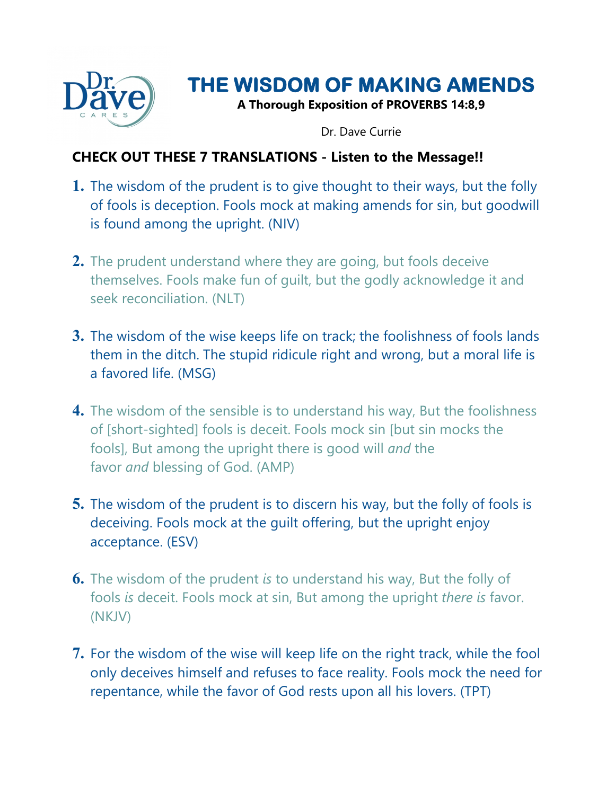

# **THE WISDOM OF MAKING AMENDS**

**A Thorough Exposition of PROVERBS 14:8,9**

Dr. Dave Currie

#### **CHECK OUT THESE 7 TRANSLATIONS - Listen to the Message!!**

- **1.** The wisdom of the prudent is to give thought to their ways, but the folly of fools is deception. Fools mock at making amends for sin, but goodwill is found among the upright. (NIV)
- **2.** The prudent understand where they are going, but fools deceive themselves. Fools make fun of guilt, but the godly acknowledge it and seek reconciliation. (NLT)
- **3.** The wisdom of the wise keeps life on track; the foolishness of fools lands them in the ditch. The stupid ridicule right and wrong, but a moral life is a favored life. (MSG)
- **4.** The wisdom of the sensible is to understand his way, But the foolishness of [short-sighted] fools is deceit. Fools mock sin [but sin mocks the fools], But among the upright there is good will *and* the favor *and* blessing of God. (AMP)
- **5.** The wisdom of the prudent is to discern his way, but the folly of fools is deceiving. Fools mock at the guilt offering, but the upright enjoy acceptance. (ESV)
- **6.** The wisdom of the prudent *is* to understand his way, But the folly of fools *is* deceit. Fools mock at sin, But among the upright *there is* favor. (NKJV)
- **7.** For the wisdom of the wise will keep life on the right track, while the fool only deceives himself and refuses to face reality. Fools mock the need for repentance, while the favor of God rests upon all his lovers. (TPT)